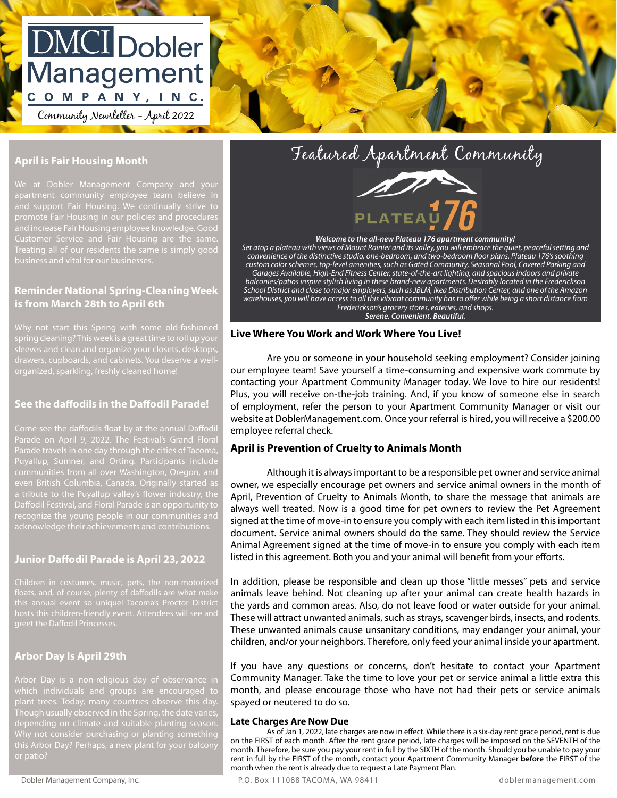# DMCI Dobler Management COMPANY, INC.

Community Newsletter - April 2022

# **April is Fair Housing Month**

promote Fair Housing in our policies and procedures Treating all of our residents the same is simply good  $\rule{1em}{0.15mm}$   $\rule{1.0mm}{0.0mm}$   $\rule{1.0mm}{0.0mm}$   $\rule{1.0mm}{0.0mm}$   $\rule{1.0mm}{0.0mm}$   $\rule{1.0mm}{0.0mm}$   $\rule{1.0mm}{0.0mm}$   $\rule{1.0mm}{0.0mm}$   $\rule{1.0mm}{0.0mm}$   $\rule{1.0mm}{0.0mm}$   $\rule{1.0mm$  $\epsilon$  and number of  $\epsilon$  is the set of  $\epsilon$  is the set of  $\epsilon$  . The set of  $\epsilon$  is the set of  $\epsilon$ apartment community employee team believe in **and the set of the set of the set of the set of the set of the s**<br>and support Eair Housing We continually strive to and support Fair Housing. We continually strive to Treating all of our residents the same is simply good

## **Reminder National Spring-Cleaning Week | School District Aria Fairmer School District Aria Fairmer School Distr is from March 28th to April 6th**

Signature:  $\frac{1}{2}$  signature:  $\frac{1}{2}$  signature  $\frac{1}{2}$  signature:  $\frac{1}{2}$  signature:  $\frac{1}{2}$  signature:  $\frac{1}{2}$  signature:  $\frac{1}{2}$  signature:  $\frac{1}{2}$  signature:  $\frac{1}{2}$  signature:  $\frac{1}{2}$  signature: ending the separative, and continue to a describe a new original original to a new original or original to the Why not start this Spring with some old-fashioned organized, sparkling, freshly cleaned home!

# **See the daffodils in the Daffodil Parade!**

Come see the daffodils float by at the annual Daffodil Parade on April 9, 2022. The Festival's Grand Floral Parade travels in one day through the cities of Tacoma, Daffodil Festival, and Floral Parade is an opportunity to

# **Junior Daffodil Parade is April 23, 2022**

# **Arbor Day Is April 29th**

Though usually observed in the Spring, the date varies,





*Set atop a plateau with views of Mount Rainier and its valley, you will embrace the quiet, peaceful setting and convenience of the distinctive studio, one-bedroom, and two-bedroom floor plans. Plateau 176's soothing custom color schemes, top-level amenities, such as Gated Community, Seasonal Pool, Covered Parking and Garages Available, High-End Fitness Center, state-of-the-art lighting, and spacious indoors and private* 

*balconies/patios inspire stylish living in these brand-new apartments. Desirably located in the Frederickson School District and close to major employers, such as JBLM, Ikea Distribution Center, and one of the Amazon warehouses, you will have access to all this vibrant community has to offer while being a short distance from Frederickson's grocery stores, eateries, and shops. Serene. Convenient. Beautiful.*

#### **Live Where You Work and Work Where You Live!**

Are you or someone in your household seeking employment? Consider joining our employee team! Save yourself a time-consuming and expensive work commute by contacting your Apartment Community Manager today. We love to hire our residents! Plus, you will receive on-the-job training. And, if you know of someone else in search of employment, refer the person to your Apartment Community Manager or visit our website at DoblerManagement.com. Once your referral is hired, you will receive a \$200.00 employee referral check.

### **April is Prevention of Cruelty to Animals Month**

Although it is always important to be a responsible pet owner and service animal owner, we especially encourage pet owners and service animal owners in the month of April, Prevention of Cruelty to Animals Month, to share the message that animals are always well treated. Now is a good time for pet owners to review the Pet Agreement signed at the time of move-in to ensure you comply with each item listed in this important document. Service animal owners should do the same. They should review the Service Animal Agreement signed at the time of move-in to ensure you comply with each item listed in this agreement. Both you and your animal will benefit from your efforts.

In addition, please be responsible and clean up those "little messes" pets and service animals leave behind. Not cleaning up after your animal can create health hazards in the yards and common areas. Also, do not leave food or water outside for your animal. These will attract unwanted animals, such as strays, scavenger birds, insects, and rodents. These unwanted animals cause unsanitary conditions, may endanger your animal, your children, and/or your neighbors. Therefore, only feed your animal inside your apartment.

If you have any questions or concerns, don't hesitate to contact your Apartment Community Manager. Take the time to love your pet or service animal a little extra this month, and please encourage those who have not had their pets or service animals spayed or neutered to do so.

#### **Late Charges Are Now Due**

As of Jan 1, 2022, late charges are now in effect. While there is a six-day rent grace period, rent is due on the FIRST of each month. After the rent grace period, late charges will be imposed on the SEVENTH of the month. Therefore, be sure you pay your rent in full by the SIXTH of the month. Should you be unable to pay your rent in full by the FIRST of the month, contact your Apartment Community Manager **before** the FIRST of the month when the rent is already due to request a Late Payment Plan.